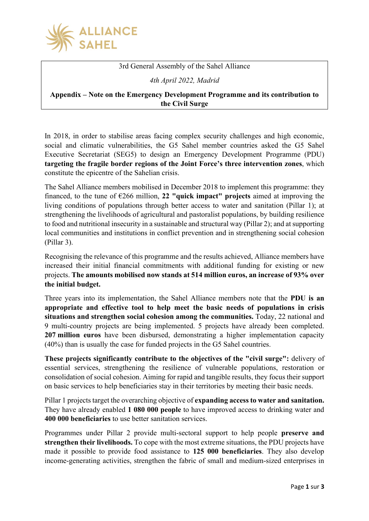

3rd General Assembly of the Sahel Alliance

*4th April 2022, Madrid*

## **Appendix – Note on the Emergency Development Programme and its contribution to the Civil Surge**

In 2018, in order to stabilise areas facing complex security challenges and high economic, social and climatic vulnerabilities, the G5 Sahel member countries asked the G5 Sahel Executive Secretariat (SEG5) to design an Emergency Development Programme (PDU) **targeting the fragile border regions of the Joint Force's three intervention zones**, which constitute the epicentre of the Sahelian crisis.

The Sahel Alliance members mobilised in December 2018 to implement this programme: they financed, to the tune of €266 million, **22 "quick impact" projects** aimed at improving the living conditions of populations through better access to water and sanitation (Pillar 1); at strengthening the livelihoods of agricultural and pastoralist populations, by building resilience to food and nutritional insecurity in a sustainable and structural way (Pillar 2); and at supporting local communities and institutions in conflict prevention and in strengthening social cohesion (Pillar 3).

Recognising the relevance of this programme and the results achieved, Alliance members have increased their initial financial commitments with additional funding for existing or new projects. **The amounts mobilised now stands at 514 million euros, an increase of 93% over the initial budget.**

Three years into its implementation, the Sahel Alliance members note that the **PDU is an appropriate and effective tool to help meet the basic needs of populations in crisis situations and strengthen social cohesion among the communities.** Today, 22 national and 9 multi-country projects are being implemented. 5 projects have already been completed. **207 million euros** have been disbursed, demonstrating a higher implementation capacity (40%) than is usually the case for funded projects in the G5 Sahel countries.

**These projects significantly contribute to the objectives of the "civil surge":** delivery of essential services, strengthening the resilience of vulnerable populations, restoration or consolidation of social cohesion. Aiming for rapid and tangible results, they focus their support on basic services to help beneficiaries stay in their territories by meeting their basic needs.

Pillar 1 projects target the overarching objective of **expanding access to water and sanitation.** They have already enabled **1 080 000 people** to have improved access to drinking water and **400 000 beneficiaries** to use better sanitation services.

Programmes under Pillar 2 provide multi-sectoral support to help people **preserve and strengthen their livelihoods.** To cope with the most extreme situations, the PDU projects have made it possible to provide food assistance to **125 000 beneficiaries**. They also develop income-generating activities, strengthen the fabric of small and medium-sized enterprises in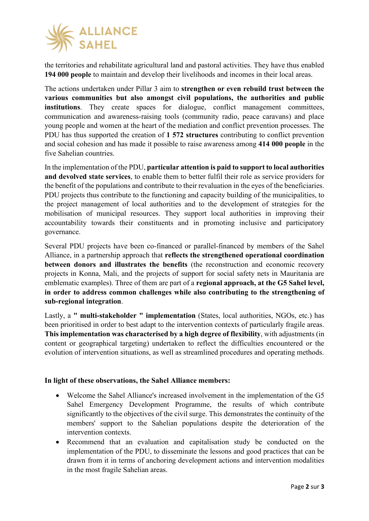

the territories and rehabilitate agricultural land and pastoral activities. They have thus enabled **194 000 people** to maintain and develop their livelihoods and incomes in their local areas.

The actions undertaken under Pillar 3 aim to **strengthen or even rebuild trust between the various communities but also amongst civil populations, the authorities and public institutions**. They create spaces for dialogue, conflict management committees, communication and awareness-raising tools (community radio, peace caravans) and place young people and women at the heart of the mediation and conflict prevention processes. The PDU has thus supported the creation of **1 572 structures** contributing to conflict prevention and social cohesion and has made it possible to raise awareness among **414 000 people** in the five Sahelian countries.

In the implementation of the PDU, **particular attention is paid to support to local authorities and devolved state services**, to enable them to better fulfil their role as service providers for the benefit of the populations and contribute to their revaluation in the eyes of the beneficiaries. PDU projects thus contribute to the functioning and capacity building of the municipalities, to the project management of local authorities and to the development of strategies for the mobilisation of municipal resources. They support local authorities in improving their accountability towards their constituents and in promoting inclusive and participatory governance.

Several PDU projects have been co-financed or parallel-financed by members of the Sahel Alliance, in a partnership approach that **reflects the strengthened operational coordination between donors and illustrates the benefits** (the reconstruction and economic recovery projects in Konna, Mali, and the projects of support for social safety nets in Mauritania are emblematic examples). Three of them are part of a **regional approach, at the G5 Sahel level, in order to address common challenges while also contributing to the strengthening of sub-regional integration**.

Lastly, a **" multi-stakeholder " implementation** (States, local authorities, NGOs, etc.) has been prioritised in order to best adapt to the intervention contexts of particularly fragile areas. **This implementation was characterised by a high degree of flexibility**, with adjustments (in content or geographical targeting) undertaken to reflect the difficulties encountered or the evolution of intervention situations, as well as streamlined procedures and operating methods.

## **In light of these observations, the Sahel Alliance members:**

- Welcome the Sahel Alliance's increased involvement in the implementation of the G5 Sahel Emergency Development Programme, the results of which contribute significantly to the objectives of the civil surge. This demonstrates the continuity of the members' support to the Sahelian populations despite the deterioration of the intervention contexts.
- Recommend that an evaluation and capitalisation study be conducted on the implementation of the PDU, to disseminate the lessons and good practices that can be drawn from it in terms of anchoring development actions and intervention modalities in the most fragile Sahelian areas.